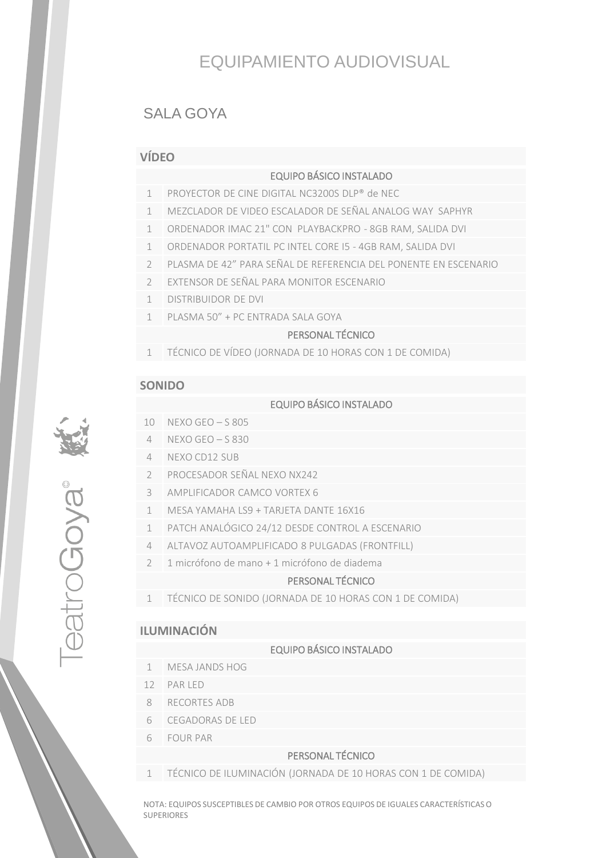# EQUIPAMIENTO AUDIOVISUAL

# SALA GOYA

## **VÍDEO**

#### EQUIPO BÁSICO INSTALADO

- 1 PROYECTOR DE CINE DIGITAL NC3200S DLP® de NEC
- 1 MEZCLADOR DE VIDEO ESCALADOR DE SEÑAL ANALOG WAY SAPHYR
- 1 ORDENADOR IMAC 21" CON PLAYBACKPRO 8GB RAM, SALIDA DVI
- 1 ORDENADOR PORTATIL PC INTEL CORE I5 4GB RAM, SALIDA DVI
- 2 PLASMA DE 42" PARA SEÑAL DE REFERENCIA DEL PONENTE EN ESCENARIO
- 2 EXTENSOR DE SEÑAL PARA MONITOR ESCENARIO
- 1 DISTRIBUIDOR DE DVI
- 1 PLASMA 50" + PC ENTRADA SALA GOYA

# **1 PERSONAL TÉCNICO**

1 TÉCNICO DE VÍDEO (JORNADA DE 10 HORAS CON 1 DE COMIDA)

#### **SONIDO**

excooper

## EQUIPO BÁSICO INSTALADO

- 10 NEXO GEO S 805
- 4 NEXO GEO S 830
- 4 NEXO CD12 SUB
- 2 PROCESADOR SEÑAL NEXO NX242
- 3 AMPLIFICADOR CAMCO VORTEX 6
- 1 MESA YAMAHA LS9 + TARJETA DANTE 16X16
- 1 PATCH ANALÓGICO 24/12 DESDE CONTROL A ESCENARIO
- 4 ALTAVOZ AUTOAMPLIFICADO 8 PULGADAS (FRONTFILL)
- 2 1 micrófono de mano + 1 micrófono de diadema

### PERSONAL TÉCNICO

1 TÉCNICO DE SONIDO (JORNADA DE 10 HORAS CON 1 DE COMIDA)

#### **ILUMINACIÓN**

#### EQUIPO BÁSICO INSTALADO

- 1 MESA JANDS HOG
- 12 PAR LED
- 8 RECORTES ADB
- 6 CEGADORAS DE LED
- 6 FOUR PAR

#### PERSONAL TÉCNICO

1 TÉCNICO DE ILUMINACIÓN (JORNADA DE 10 HORAS CON 1 DE COMIDA)

NOTA: EQUIPOS SUSCEPTIBLES DE CAMBIO POR OTROS EQUIPOS DE IGUALES CARACTERÍSTICAS O SUPERIORES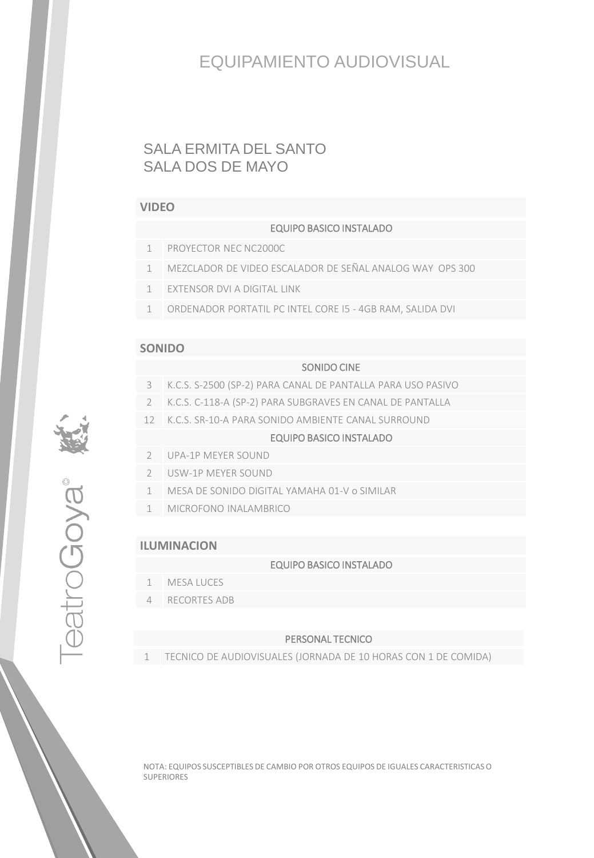# EQUIPAMIENTO AUDIOVISUAL

# SALA ERMITA DEL SANTO SALA DOS DE MAYO

#### **VIDEO**

#### EQUIPO BASICO INSTALADO

- 1 PROYECTOR NEC NC2000C
- 1 MEZCLADOR DE VIDEO ESCALADOR DE SEÑAL ANALOG WAY OPS 300
- 1 EXTENSOR DVI A DIGITAL LINK
- 1 ORDENADOR PORTATIL PC INTEL CORE I5 4GB RAM, SALIDA DVI

#### **SONIDO**

#### SONIDO CINE

- 3 K.C.S. S-2500 (SP-2) PARA CANAL DE PANTALLA PARA USO PASIVO
- 2 K.C.S. C-118-A (SP-2) PARA SUBGRAVES EN CANAL DE PANTALLA
- 12 K.C.S. SR-10-A PARA SONIDO AMBIENTE CANAL SURROUND

#### EQUIPO BASICO INSTALADO

- 2 UPA-1P MEYER SOUND
- 2 USW-1P MEYER SOUND
- 1 MESA DE SONIDO DIGITAL YAMAHA 01-V o SIMILAR
- 1 MICROFONO INALAMBRICO

## **ILUMINACION**

TeatroGoya<sup>®</sup>

#### EQUIPO BASICO INSTALADO

- 1 MESA LUCES
- 4 RECORTES ADB

#### PERSONAL TECNICO

1 TECNICO DE AUDIOVISUALES (JORNADA DE 10 HORAS CON 1 DE COMIDA)

NOTA: EQUIPOS SUSCEPTIBLES DE CAMBIO POR OTROS EQUIPOS DE IGUALES CARACTERISTICAS O SUPERIORES